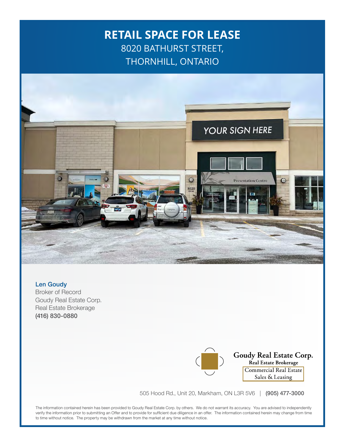## **RETAIL SPACE FOR LEASE** 8020 BATHURST STREET, THORNHILL, ONTARIO



Len Goudy Broker of Record Goudy Real Estate Corp. Real Estate Brokerage (416) 830-0880

**Goudy Real Estate Corp.**<br>Real Estate Brokerage Commercial Real Estate Sales & Leasing

505 Hood Rd., Unit 20, Markham, ON L3R 5V6 | (905) 477-3000

The information contained herein has been provided to Goudy Real Estate Corp. by others. We do not warrant its accuracy. You are advised to independently verify the information prior to submitting an Offer and to provide for sufficient due diligence in an offer. The information contained herein may change from time to time without notice. The property may be withdrawn from the market at any time without notice.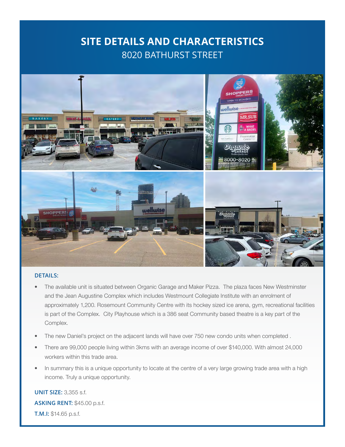#### **SITE DETAILS AND CHARACTERISTICS** 8020 BATHURST STREET



#### **DETAILS:**

- The available unit is situated between Organic Garage and Maker Pizza. The plaza faces New Westminster and the Jean Augustine Complex which includes Westmount Collegiate Institute with an enrolment of approximately 1,200. Rosemount Community Centre with its hockey sized ice arena, gym, recreational facilities is part of the Complex. City Playhouse which is a 386 seat Community based theatre is a key part of the Complex.
- The new Daniel's project on the adjacent lands will have over 750 new condo units when completed .
- There are 99,000 people living within 3kms with an average income of over \$140,000. With almost 24,000 workers within this trade area.
- In summary this is a unique opportunity to locate at the centre of a very large growing trade area with a high income. Truly a unique opportunity.

**UNIT SIZE:** 3,355 s.f. **ASKING RENT:** \$45.00 p.s.f. **T.M.I:** \$14.65 p.s.f.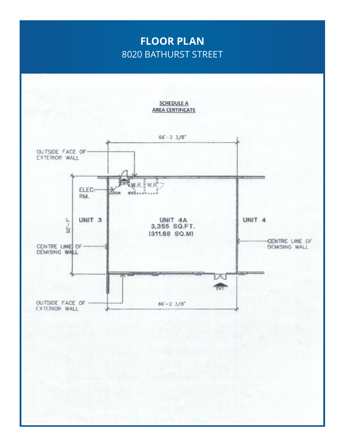## **FLOOR PLAN** 8020 BATHURST STREET

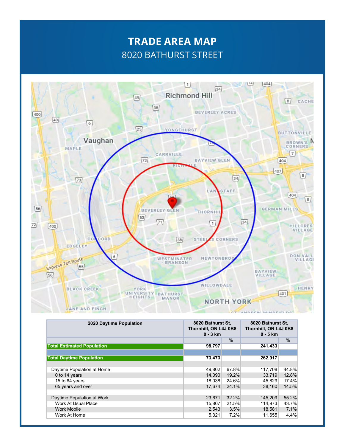# **TRADE AREA MAP** 8020 BATHURST STREET



| 2020 Daytime Population           | 8020 Bathurst St,<br>Thornhill, ON L4J 0B8<br>$0 - 3$ km |       | 8020 Bathurst St.<br>Thornhill, ON L4J 0B8<br>$0 - 5$ km |       |
|-----------------------------------|----------------------------------------------------------|-------|----------------------------------------------------------|-------|
|                                   |                                                          | $\%$  |                                                          | $\%$  |
| <b>Total Estimated Population</b> | 98,797                                                   |       | 241,433                                                  |       |
|                                   |                                                          |       |                                                          |       |
| <b>Total Daytime Population</b>   | 73,473                                                   |       | 262,917                                                  |       |
|                                   |                                                          |       |                                                          |       |
| Daytime Population at Home        | 49.802                                                   | 67.8% | 117.708                                                  | 44.8% |
| 0 to 14 years                     | 14.090                                                   | 19.2% | 33.719                                                   | 12.8% |
| 15 to 64 years                    | 18.038                                                   | 24.6% | 45.829                                                   | 17.4% |
| 65 years and over                 | 17.674                                                   | 24.1% | 38.160                                                   | 14.5% |
|                                   |                                                          |       |                                                          |       |
| Daytime Population at Work        | 23.671                                                   | 32.2% | 145.209                                                  | 55.2% |
| Work At Usual Place               | 15,807                                                   | 21.5% | 114.973                                                  | 43.7% |
| <b>Work Mobile</b>                | 2,543                                                    | 3.5%  | 18,581                                                   | 7.1%  |
| Work At Home                      | 5,321                                                    | 7.2%  | 11,655                                                   | 4.4%  |